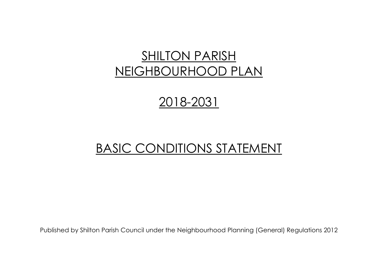# SHILTON PARISH NEIGHBOURHOOD PLAN

## 2018-2031

## BASIC CONDITIONS STATEMENT

Published by Shilton Parish Council under the Neighbourhood Planning (General) Regulations 2012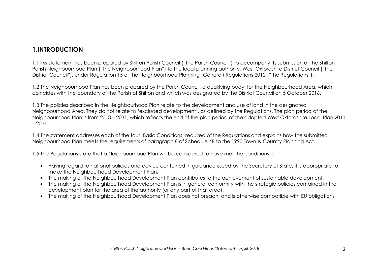1.1This statement has been prepared by Shilton Parish Council ("the Parish Council") to accompany its submission of the Shilton Parish Neighbourhood Plan ("the Neighbourhood Plan") to the local planning authority, West Oxfordshire District Council ("the District Council"), under Regulation 15 of the Neighbourhood Planning (General) Regulations 2012 ("the Regulations").

1.2 The Neighbourhood Plan has been prepared by the Parish Council, a qualifying body, for the Neighbourhood Area, which coincides with the boundary of the Parish of Shilton and which was designated by the District Council on 5 October 2016.

1.3 The policies described in the Neighbourhood Plan relate to the development and use of land in the designated Neighbourhood Area. They do not relate to 'excluded development', as defined by the Regulations. The plan period of the Neighbourhood Plan is from 2018 – 2031, which reflects the end of the plan period of the adopted West Oxfordshire Local Plan 2011  $-2031$ .

1.4 The statement addresses each of the four 'Basic Conditions' required of the Regulations and explains how the submitted Neighbourhood Plan meets the requirements of paragraph 8 of Schedule 4B to the 1990 Town & Country Planning Act.

1.5 The Regulations state that a Neighbourhood Plan will be considered to have met the conditions if:

- Having regard to national policies and advice contained in guidance issued by the Secretary of State, it is appropriate to make the Neighbourhood Development Plan,
- The making of the Neighbourhood Development Plan contributes to the achievement of sustainable development,
- The making of the Neighbourhood Development Plan is in general conformity with the strategic policies contained in the development plan for the area of the authority (or any part of that area).
- The making of the Neighbourhood Development Plan does not breach, and is otherwise compatible with EU obligations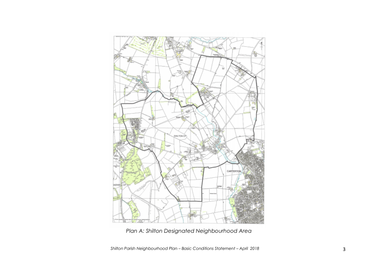

*Plan A: Shilton Designated Neighbourhood Area*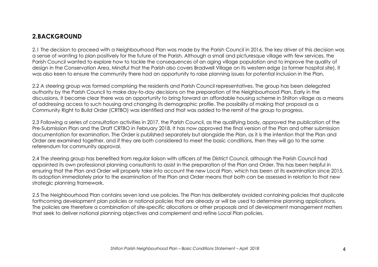### **2.BACKGROUND**

2.1 The decision to proceed with a Neighbourhood Plan was made by the Parish Council in 2016. The key driver of this decision was a sense of wanting to plan positively for the future of the Parish. Although a small and picturesque village with few services, the Parish Council wanted to explore how to tackle the consequences of an aging village population and to improve the quality of design in the Conservation Area. Mindful that the Parish also covers Bradwell Village on its western edge (a former hospital site), it was also keen to ensure the community there had an opportunity to raise planning issues for potential inclusion in the Plan.

2.2 A steering group was formed comprising the residents and Parish Council representatives. The group has been delegated authority by the Parish Council to make day-to-day decisions on the preparation of the Neighbourhood Plan. Early in the discussions, it became clear there was an opportunity to bring forward an affordable housing scheme in Shilton village as a means of addressing access to such housing and changing its demographic profile. The possibility of making that proposal as a Community Right to Build Order (CRTBO) was identified and that was added to the remit of the group to progress.

2.3 Following a series of consultation activities in 2017, the Parish Council, as the qualifying body, approved the publication of the Pre-Submission Plan and the Draft CRTBO in February 2018. It has now approved the final version of the Plan and other submission documentation for examination. The Order is published separately but alongside the Plan, as it is the intention that the Plan and Order are examined together, and if they are both considered to meet the basic conditions, then they will go to the same referendum for community approval.

2.4 The steering group has benefited from regular liaison with officers of the District Council, although the Parish Council had appointed its own professional planning consultants to assist in the preparation of the Plan and Order. This has been helpful in ensuring that the Plan and Order will properly take into account the new Local Plan, which has been at its examination since 2015. Its adoption immediately prior to the examination of the Plan and Order means that both can be assessed in relation to that new strategic planning framework.

2.5 The Neighbourhood Plan contains seven land use policies. The Plan has deliberately avoided containing policies that duplicate forthcoming development plan policies or national policies that are already or will be used to determine planning applications. The policies are therefore a combination of site-specific allocations or other proposals and of development management matters that seek to deliver national planning objectives and complement and refine Local Plan policies.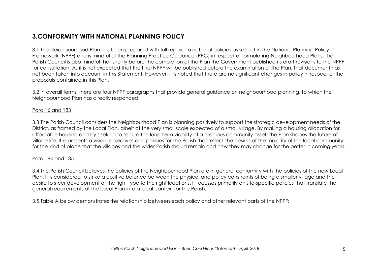## **3.CONFORMITY WITH NATIONAL PLANNING POLICY**

3.1 The Neighbourhood Plan has been prepared with full regard to national policies as set out in the National Planning Policy Framework (NPPF) and is mindful of the Planning Practice Guidance (PPG) in respect of formulating Neighbourhood Plans. The Parish Council is also mindful that shortly before the completion of the Plan the Government published its draft revisions to the NPPF for consultation. As it is not expected that the final NPPF will be published before the examination of the Plan, that document has not been taken into account in this Statement. However, it is noted that there are no significant changes in policy in respect of the proposals contained in this Plan.

3.2 In overall terms, there are four NPPF paragraphs that provide general guidance on neighbourhood planning, to which the Neighbourhood Plan has directly responded:

#### Para 16 and 183

3.3 The Parish Council considers the Neighbourhood Plan is planning positively to support the strategic development needs of the District, as framed by the Local Plan, albeit at the very small scale expected of a small village. By making a housing allocation for affordable housing and by seeking to secure the long term viability of a precious community asset, the Plan shapes the future of village life. It represents a vision, objectives and policies for the Parish that reflect the desires of the majority of the local community for the kind of place that the villages and the wider Parish should remain and how they may change for the better in coming years.

#### Para 184 and 185

3.4 The Parish Council believes the policies of the Neighbourhood Plan are in general conformity with the policies of the new Local Plan. It is considered to strike a positive balance between the physical and policy constraints of being a smaller village and the desire to steer development of the right type to the right locations. It focusses primarily on site-specific policies that translate the general requirements of the Local Plan into a local context for the Parish.

3.5 Table A below demonstrates the relationship between each policy and other relevant parts of the NPPF: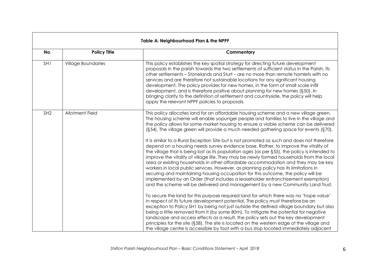|                 | Table A: Neighbourhood Plan & the NPPF |                                                                                                                                                                                                                                                                                                                                                                                                                                                                                                                                                                                                                                                                                                                                                                                                                                                                                                                                                                                                                                                                                                                                                                                                                                                                                                                                                                                                                                                                                                                                                                                                                                                                                                                                               |  |  |  |  |
|-----------------|----------------------------------------|-----------------------------------------------------------------------------------------------------------------------------------------------------------------------------------------------------------------------------------------------------------------------------------------------------------------------------------------------------------------------------------------------------------------------------------------------------------------------------------------------------------------------------------------------------------------------------------------------------------------------------------------------------------------------------------------------------------------------------------------------------------------------------------------------------------------------------------------------------------------------------------------------------------------------------------------------------------------------------------------------------------------------------------------------------------------------------------------------------------------------------------------------------------------------------------------------------------------------------------------------------------------------------------------------------------------------------------------------------------------------------------------------------------------------------------------------------------------------------------------------------------------------------------------------------------------------------------------------------------------------------------------------------------------------------------------------------------------------------------------------|--|--|--|--|
| No.             | <b>Policy Title</b>                    | Commentary                                                                                                                                                                                                                                                                                                                                                                                                                                                                                                                                                                                                                                                                                                                                                                                                                                                                                                                                                                                                                                                                                                                                                                                                                                                                                                                                                                                                                                                                                                                                                                                                                                                                                                                                    |  |  |  |  |
| SH <sub>1</sub> | <b>Village Boundaries</b>              | This policy establishes the key spatial strategy for directing future development<br>proposals in the parish towards the two settlements of sufficient status in the Parish. Its<br>other settlements – Stonelands and Sturt – are no more than remote hamlets with no<br>services and are therefore not sustainable locations for any significant housing<br>development. The policy provides for new homes, in the form of small scale infill<br>development, and is therefore positive about planning for new homes (§50). In<br>bringing clarity to the definition of settlement and countryside, the policy will help<br>apply the relevant NPPF policies to proposals.                                                                                                                                                                                                                                                                                                                                                                                                                                                                                                                                                                                                                                                                                                                                                                                                                                                                                                                                                                                                                                                                  |  |  |  |  |
| SH <sub>2</sub> | <b>Allotment Field</b>                 | This policy allocates land for an affordable housing scheme and a new village green.<br>The housing scheme will enable yopunger people and families to live in the village and<br>the policy allows for some market housing to ensure a viable scheme can be delivered<br>$(S54)$ . The village green will provide a much needed gathering space for events $(S70)$ .<br>It is similar to a Rural Exception Site but is not promoted as such and does not therefore<br>depend on a housing needs survey evidence base. Rather, to improve the vitality of<br>the village that is being lost as its population ages (as per §55), the policy is intended to<br>improve the vitality of village life. They may be newly formed households from the local<br>area or existing households in other affordable accommodation and they may be key<br>workers in local public services. However, as planning policy has its limitations in<br>securing and maintaining housing occupation for this outcome, the policy will be<br>implemented by an Order (that includes a leaseholder enfranchisement exemption)<br>and the scheme will be delivered and management by a new Community Land Trust.<br>To secure the land for this purpose required land for which there was no 'hope value'<br>in respect of its future development potential. The policy must therefore be an<br>exception to Policy SH1 by being not just outside the defined village boundary but also<br>being a little removed from it (by some 80m). To mitigate the potential for negative<br>landscape and access effects as a result, the policy sets out the key development<br>principles for the site (§58). The site is located on the western edge of the village and |  |  |  |  |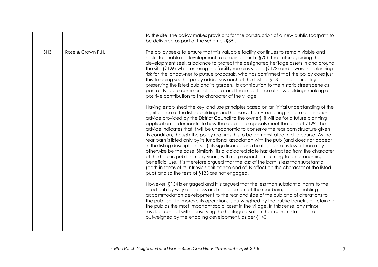|                 |                   | to the site. The policy makes provisions for the construction of a new public footpath to<br>be delivered as part of the scheme (§35).                                                                                                                                                                                                                                                                                                                                                                                                                                                                                                                                                                                                                                                                                                                                                                                                                                                                                                                                                                                                                                          |
|-----------------|-------------------|---------------------------------------------------------------------------------------------------------------------------------------------------------------------------------------------------------------------------------------------------------------------------------------------------------------------------------------------------------------------------------------------------------------------------------------------------------------------------------------------------------------------------------------------------------------------------------------------------------------------------------------------------------------------------------------------------------------------------------------------------------------------------------------------------------------------------------------------------------------------------------------------------------------------------------------------------------------------------------------------------------------------------------------------------------------------------------------------------------------------------------------------------------------------------------|
| SH <sub>3</sub> | Rose & Crown P.H. | The policy seeks to ensure that this valuable facility continues to remain viable and<br>seeks to enable its development to remain as such (§70). The criteria guiding the<br>development seek a balance to protect the designated heritage assets in and around<br>the site (§126) while ensuring the facility remains viable (§173) and lowers the planning<br>risk for the landowner to pursue proposals, who has confirmed that the policy does just<br>this. In doing so, the policy addresses each of the tests of $\S$ 131 – the desirability of<br>preserving the listed pub and its garden, its contribution to the historic streetscene as<br>part of its future commercial appeal and the importance of new buildings making a<br>positive contribution to the character of the village.                                                                                                                                                                                                                                                                                                                                                                             |
|                 |                   | Having established the key land use principles based on an initial understanding of the<br>significance of the listed buildings and Conservation Area (using the pre-application<br>advice provided by the District Council to the owner), it will be for a future planning<br>application to demonstrate how the detailed proposals meet the tests of §129. The<br>advice indicates that it will be uneconomic to conserve the rear barn structure given<br>its condition, though the policy requires this to be demonstrated in due course. As the<br>rear barn is listed only by its functional association with the pub (and does not appear<br>in the listing description itself), its significance as a heritage asset is lower than may<br>otherwise be the case. Similarly, its dilapidated state has detracted from the character<br>of the historic pub for many years, with no prospect of returning to an economic,<br>beneficial use. It is therefore argued that the loss of the barn is less than substantial<br>(both in terms of its intrinsic significance and of its effect on the character of the listed<br>pub) and so the tests of §133 are not engaged. |
|                 |                   | However, §134 is engaged and it is argued that the less than substantial harm to the<br>listed pub by way of the loss and replacement of the rear barn, of the enabling<br>accommodation development to the rear and side of the pub and of alterations to<br>the pub itself to improve its operations is outweighed by the public benefits of retaining<br>the pub as the most important social asset in the village. In this sense, any minor<br>residual conflict with conserving the heritage assets in their current state is also<br>outweighed by the enabling development, as per §140.                                                                                                                                                                                                                                                                                                                                                                                                                                                                                                                                                                                 |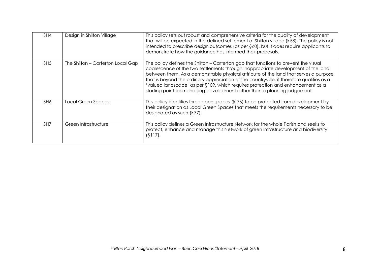| SH4             | Design in Shilton Village         | This policy sets out robust and comprehensive criteria for the quality of development<br>that will be expected in the defined settlement of Shilton village $(§58)$ . The policy is not<br>intended to prescribe design outcomes (as per $\S 60$ ), but it does require applicants to<br>demonstrate how the guidance has informed their proposals.                                                                                                                                                                        |
|-----------------|-----------------------------------|----------------------------------------------------------------------------------------------------------------------------------------------------------------------------------------------------------------------------------------------------------------------------------------------------------------------------------------------------------------------------------------------------------------------------------------------------------------------------------------------------------------------------|
| SH <sub>5</sub> | The Shilton - Carterton Local Gap | The policy defines the Shilton – Carterton gap that functions to prevent the visual<br>coalescence of the two settlements through inappropriate development of the land<br>between them. As a demonstrable physical attribute of the land that serves a purpose<br>that is beyond the ordinary appreciation of the countryside, it therefore qualifies as a<br>'valued landscape' as per §109, which requires protection and enhancement as a<br>starting point for managing development rather than a planning judgement. |
| SH6             | Local Green Spaces                | This policy identifies three open spaces $(\S 76)$ to be protected from development by<br>their designation as Local Green Spaces that meets the requirements necessary to be<br>designated as such $(\S 77)$ .                                                                                                                                                                                                                                                                                                            |
| SH <sub>7</sub> | Green Infrastructure              | This policy defines a Green Infrastructure Network for the whole Parish and seeks to<br>protect, enhance and manage this Network of green infrastructure and biodiversity<br>$(S117)$ .                                                                                                                                                                                                                                                                                                                                    |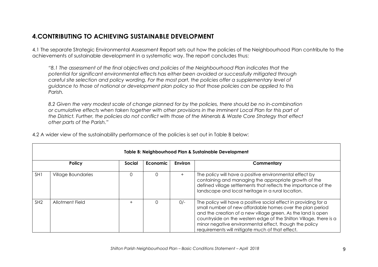## **4.CONTRIBUTING TO ACHIEVING SUSTAINABLE DEVELOPMENT**

4.1 The separate Strategic Environmental Assessment Report sets out how the policies of the Neighbourhood Plan contribute to the achievements of sustainable development in a systematic way. The report concludes thus:

*"8.1 The assessment of the final objectives and policies of the Neighbourhood Plan indicates that the potential for significant environmental effects has either been avoided or successfully mitigated through careful site selection and policy wording. For the most part, the policies offer a supplementary level of guidance to those of national or development plan policy so that those policies can be applied to this Parish.*

*8.2 Given the very modest scale of change planned for by the policies, there should be no in-combination or cumulative effects when taken together with other provisions in the imminent Local Plan for this part of the District. Further, the policies do not conflict with those of the Minerals & Waste Core Strategy that effect other parts of the Parish."*

|                 | Table B: Neighbourhood Plan & Sustainable Development |        |          |                |                                                                                                                                                                                                                                                                                                                                                                                  |  |
|-----------------|-------------------------------------------------------|--------|----------|----------------|----------------------------------------------------------------------------------------------------------------------------------------------------------------------------------------------------------------------------------------------------------------------------------------------------------------------------------------------------------------------------------|--|
|                 | <b>Policy</b>                                         | Social | Economic | <b>Environ</b> | Commentary                                                                                                                                                                                                                                                                                                                                                                       |  |
| SH <sub>1</sub> | <b>Village Boundaries</b>                             | 0      |          | $+$            | The policy will have a positive environmental effect by<br>containing and managing the appropriate growth of the<br>defined village settlements that reflects the importance of the<br>landscape and local heritage in a rural location.                                                                                                                                         |  |
| SH <sub>2</sub> | Allotment Field                                       | $+$    | 0        | $O/-$          | The policy will have a positive social effect in providing for a<br>small number of new affordable homes over the plan period<br>and the creation of a new village green. As the land is open<br>countryside on the western edge of the Shilton Village, there is a<br>minor negative environmental effect, though the policy<br>requirements will mitigate much of that effect. |  |

4.2 A wider view of the sustainability performance of the policies is set out in Table B below: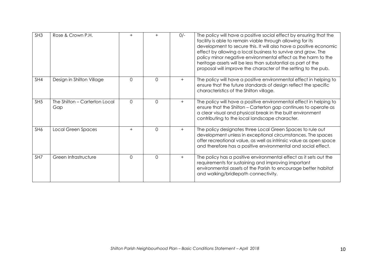| SH <sub>3</sub> | Rose & Crown P.H.                    | $^{+}$       |          | $0/-$ | The policy will have a positive social effect by ensuring that the<br>facility is able to remain viable through allowing for its<br>development to secure this. It will also have a positive economic<br>effect by allowing a local business to survive and grow. The<br>policy minor negative environmental effect as the harm to the<br>heritage assets will be less than substantial as part of the<br>proposal will improve the character of the setting to the pub. |
|-----------------|--------------------------------------|--------------|----------|-------|--------------------------------------------------------------------------------------------------------------------------------------------------------------------------------------------------------------------------------------------------------------------------------------------------------------------------------------------------------------------------------------------------------------------------------------------------------------------------|
| SH4             | Design in Shilton Village            | $\mathbf{O}$ | $\Omega$ | $+$   | The policy will have a positive environmental effect in helping to<br>ensure that the future standards of design reflect the specific<br>characteristics of the Shilton village.                                                                                                                                                                                                                                                                                         |
| SH <sub>5</sub> | The Shilton - Carterton Local<br>Gap | $\Omega$     | $\Omega$ | $+$   | The policy will have a positive environmental effect in helping to<br>ensure that the Shilton - Carterton gap continues to operate as<br>a clear visual and physical break in the built environment<br>contributing to the local landscape character.                                                                                                                                                                                                                    |
| SH6             | <b>Local Green Spaces</b>            | $+$          | $\Omega$ | $+$   | The policy designates three Local Green Spaces to rule out<br>development unless in exceptional circumstances. The spaces<br>offer recreational value, as well as intrinsic value as open space<br>and therefore has a positive environmental and social effect.                                                                                                                                                                                                         |
| SH7             | Green Infrastructure                 | $\Omega$     | $\Omega$ | $+$   | The policy has a positive environmental effect as it sets out the<br>requirements for sustaining and improving important<br>environmental assets of the Parish to encourage better habitat<br>and walking/bridlepath connectivity.                                                                                                                                                                                                                                       |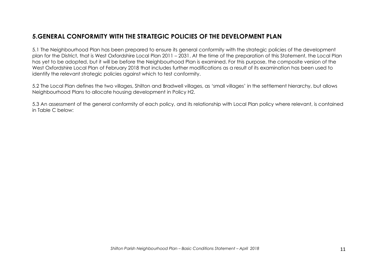## **5.GENERAL CONFORMITY WITH THE STRATEGIC POLICIES OF THE DEVELOPMENT PLAN**

5.1 The Neighbourhood Plan has been prepared to ensure its general conformity with the strategic policies of the development plan for the District, that is West Oxfordshire Local Plan 2011 – 2031. At the time of the preparation of this Statement, the Local Plan has yet to be adopted, but it will be before the Neighbourhood Plan is examined. For this purpose, the composite version of the West Oxfordshire Local Plan of February 2018 that includes further modifications as a result of its examination has been used to identify the relevant strategic policies against which to test conformity.

5.2 The Local Plan defines the two villages, Shilton and Bradwell villages, as 'small villages' in the settlement hierarchy, but allows Neighbourhood Plans to allocate housing development in Policy H2.

5.3 An assessment of the general conformity of each policy, and its relationship with Local Plan policy where relevant, is contained in Table C below: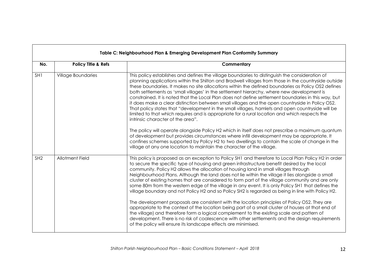|                 | Table C: Neighbourhood Plan & Emerging Development Plan Conformity Summary |                                                                                                                                                                                                                                                                                                                                                                                                                                                                                                                                                                                                                                                                                                                                                                                                                                                                                                                                                                                                                                                                                                                                                                                                                                            |  |  |  |
|-----------------|----------------------------------------------------------------------------|--------------------------------------------------------------------------------------------------------------------------------------------------------------------------------------------------------------------------------------------------------------------------------------------------------------------------------------------------------------------------------------------------------------------------------------------------------------------------------------------------------------------------------------------------------------------------------------------------------------------------------------------------------------------------------------------------------------------------------------------------------------------------------------------------------------------------------------------------------------------------------------------------------------------------------------------------------------------------------------------------------------------------------------------------------------------------------------------------------------------------------------------------------------------------------------------------------------------------------------------|--|--|--|
| No.             | <b>Policy Title &amp; Refs</b>                                             | Commentary                                                                                                                                                                                                                                                                                                                                                                                                                                                                                                                                                                                                                                                                                                                                                                                                                                                                                                                                                                                                                                                                                                                                                                                                                                 |  |  |  |
| SH <sub>1</sub> | Village Boundaries                                                         | This policy establishes and defines the village boundaries to distinguish the consideration of<br>planning applications within the Shilton and Bradwell villages from those in the countryside outside<br>these boundaries. It makes no site allocations within the defined boundaries as Policy OS2 defines<br>both settlements as 'small villages' in the settlement hierarchy, where new development is<br>constrained. It is noted that the Local Plan does not define settlement boundaries in this way, but<br>it does make a clear distinction between small villages and the open countryside in Policy OS2.<br>That policy states that "development in the small villages, hamlets and open countryside will be<br>limited to that which requires and is appropriate for a rural location and which respects the<br>intrinsic character of the area".<br>The policy will operate alongside Policy H2 which in itself does not prescribe a maximum quantum<br>of development but provides circumstances where infill development may be appropriate. It<br>confines schemes supported by Policy H2 to two dwellings to contain the scale of change in the<br>village at any one location to maintain the character of the village. |  |  |  |
| SH <sub>2</sub> | <b>Allotment Field</b>                                                     | This policy is proposed as an exception to Policy SH1 and therefore to Local Plan Policy H2 in order<br>to secure the specific type of housing and green infrastructure benefit desired by the local<br>community. Policy H2 allows the allocation of housing land in small villages through<br>Neighbourhood Plans. Although the land does not lie within the village it lies alongside a small<br>cluster of existing homes that are considered to form part of the village community and are only<br>some 80m from the western edge of the village in any event. It is only Policy SH1 that defines the<br>village boundary and not Policy H2 and so Policy SH2 is regarded as being in line with Policy H2.<br>The development proposals are consistent with the location principles of Policy OS2. They are<br>appropriate to the context of the location being part of a small cluster of houses at that end of<br>the village) and therefore form a logical complement to the existing scale and pattern of<br>development. There is no risk of coalescence with other settlements and the design requirements<br>of the policy will ensure its landscape effects are minimised.                                                    |  |  |  |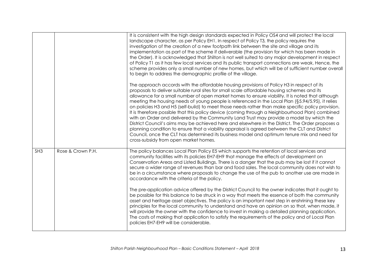|                 |                   | It is consistent with the high design standards expected in Policy OS4 and will protect the local<br>landscape character, as per Policy EH1. In respect of Policy T3, the policy requires the<br>investigation of the creation of a new footpath link between the site and village and its<br>implementation as part of the scheme if deliverable (the provision for which has been made in<br>the Order). It is acknowledged that Shilton is not well suited to any major development in respect<br>of Policy T1 as it has few local services and its public transport connections are weak. Hence, the<br>scheme provides only a small number of new homes, but which will be of sufficient number overall<br>to begin to address the demographic profile of the village.                                                                                                                                                                                                                                                                            |
|-----------------|-------------------|--------------------------------------------------------------------------------------------------------------------------------------------------------------------------------------------------------------------------------------------------------------------------------------------------------------------------------------------------------------------------------------------------------------------------------------------------------------------------------------------------------------------------------------------------------------------------------------------------------------------------------------------------------------------------------------------------------------------------------------------------------------------------------------------------------------------------------------------------------------------------------------------------------------------------------------------------------------------------------------------------------------------------------------------------------|
|                 |                   | The approach accords with the affordable housing provisions of Policy H3 in respect of its<br>proposals to deliver suitable rural sites for small scale affordable housing schemes and its<br>allowance for a small number of open market homes to ensure viability. It is noted that although<br>meeting the housing needs of young people is referenced in the Local Plan (§5.94/5.95), it relies<br>on policies H3 and H5 (self-build) to meet those needs rather than make specific policy provision.<br>It is therefore possible that this policy device (coming through a Neighbourhood Plan) combined<br>with an Order and delivered by the Community Land Trust may provide a model by which the<br>District Council's aims may be achieved here and elsewhere in the District. The Order proposes a<br>planning condition to ensure that a viability appraisal is agreed between the CLT and District<br>Council, once the CLT has determined its business model and optimum tenure mix and need for<br>cross-subsidy from open market homes. |
| SH <sub>3</sub> | Rose & Crown P.H. | The policy balances Local Plan Policy E5 which supports the retention of local services and<br>community facilities with its policies EH7-EH9 that manage the effects of development on<br>Conservation Areas and Listed Buildings. There is a danger that the pub may be lost if it cannot<br>secure a wider range of revenues than bar and food sales. The local community does not wish to<br>be in a circumstance where proposals to change the use of the pub to another use are made in<br>accordance with the criteria of the policy.                                                                                                                                                                                                                                                                                                                                                                                                                                                                                                           |
|                 |                   | The pre-application advice offered by the District Council to the owner indicates that it ought to<br>be possible for this balance to be struck in a way that meets the essence of both the community<br>asset and heritage asset objectives. The policy is an important next step in enshrining these key<br>principles for the local community to understand and have an opinion on so that, when made, it<br>will provide the owner with the confidence to invest in making a detailed planning application.<br>The costs of making that application to satisfy the requirements of the policy and of Local Plan<br>policies EH7-EH9 will be considerable.                                                                                                                                                                                                                                                                                                                                                                                          |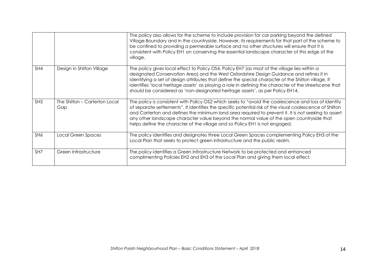|                 |                                      | The policy also allows for the scheme to include provision for car parking beyond the defined<br>Village Boundary and in the countryside. However, its requirements for that part of the scheme to<br>be confined to providing a permeable surface and no other structures will ensure that it is<br>consistent with Policy EH1 on conserving the essential landscape character of this edge of the<br>village.                                                                                   |
|-----------------|--------------------------------------|---------------------------------------------------------------------------------------------------------------------------------------------------------------------------------------------------------------------------------------------------------------------------------------------------------------------------------------------------------------------------------------------------------------------------------------------------------------------------------------------------|
| SH4             | Design in Shilton Village            | The policy gives local effect to Policy OS4, Policy EH7 (as most of the village lies within a<br>designated Conservation Area) and the West Oxfordshire Design Guidance and refines it in<br>identifying a set of design attributes that define the special character of the Shilton village. It<br>identifies 'local heritage assets' as playing a role in defining the character of the streetscene that<br>should be considered as 'non-designated heritage assets', as per Policy EH14.       |
| SH <sub>5</sub> | The Shilton - Carterton Local<br>Gap | The policy is consistent with Policy OS2 which seeks to "avoid the coalescence and loss of identity<br>of separate settlements". It identifies the specific potential risk of the visual coalescence of Shilton<br>and Carterton and defines the minimum land area required to prevent it. It is not seeking to assert<br>any other landscape character value beyond the normal value of the open countryside that<br>helps define the character of the village and so Policy EH1 is not engaged. |
| SH6             | Local Green Spaces                   | The policy identifies and designates three Local Green Spaces complementing Policy EH3 of the<br>Local Plan that seeks to protect green infrastructure and the public realm.                                                                                                                                                                                                                                                                                                                      |
| SH7             | Green Infrastructure                 | The policy identifies a Green Infrastructure Network to be protected and enhanced<br>complimenting Policies EH2 and EH3 of the Local Plan and giving them local effect.                                                                                                                                                                                                                                                                                                                           |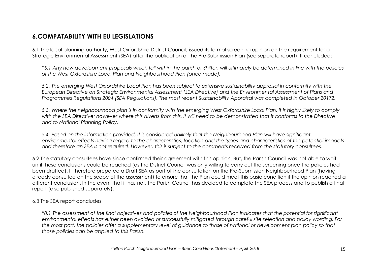## **6.COMPATABILITY WITH EU LEGISLATIONS**

6.1 The local planning authority, West Oxfordshire District Council, issued its formal screening opinion on the requirement for a Strategic Environmental Assessment (SEA) after the publication of the Pre-Submission Plan (see separate report). It concluded:

*"5.1 Any new development proposals which fall within the parish of Shilton will ultimately be determined in line with the policies of the West Oxfordshire Local Plan and Neighbourhood Plan (once made).* 

*5.2. The emerging West Oxfordshire Local Plan has been subject to extensive sustainability appraisal in conformity with the European Directive on Strategic Environmental Assessment (SEA Directive) and the Environmental Assessment of Plans and Programmes Regulations 2004 (SEA Regulations). The most recent Sustainability Appraisal was completed in October 20172.* 

*5.3. Where the neighbourhood plan is in conformity with the emerging West Oxfordshire Local Plan, it is highly likely to comply*  with the SEA Directive; however where this diverts from this, it will need to be demonstrated that it conforms to the Directive *and to National Planning Policy.* 

*5.4. Based on the information provided, it is considered unlikely that the Neighbourhood Plan will have significant environmental effects having regard to the characteristics, location and the types and characteristics of the potential impacts and therefore an SEA is not required. However, this is subject to the comments received from the statutory consultees.* 

6.2 The statutory consultees have since confirmed their agreement with this opinion. But, the Parish Council was not able to wait until these conclusions could be reached (as the District Council was only willing to carry out the screening once the policies had been drafted). It therefore prepared a Draft SEA as part of the consultation on the Pre-Submission Neighbourhood Plan (having already consulted on the scope of the assessment) to ensure that the Plan could meet this basic condition if the opinion reached a different conclusion. In the event that it has not, the Parish Council has decided to complete the SEA process and to publish a final report (also published separately).

#### 6.3 The SEA report concludes:

*"8.1 The assessment of the final objectives and policies of the Neighbourhood Plan indicates that the potential for significant environmental effects has either been avoided or successfully mitigated through careful site selection and policy wording. For the most part, the policies offer a supplementary level of guidance to those of national or development plan policy so that those policies can be applied to this Parish.*